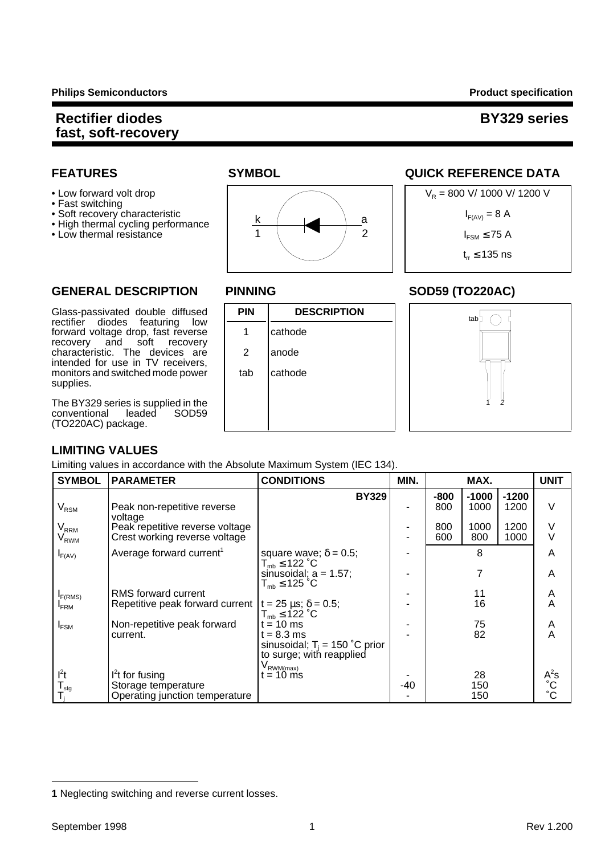- 
- Fast switching
- 
- High thermal cycling performance
- 



# **FEATURES SYMBOL SYMBOL QUICK REFERENCE DATA**



tab<sup>L</sup>

 $\bigcirc$ 

1

2

#### **GENERAL DESCRIPTION PINNING SOD59 (TO220AC)**

#### Glass-passivated double diffused **PIN DESCRIPTION** rectifier diodes featuring low forward voltage drop, fast reverse | 1 | cathode recovery and soft recovery characteristic. The devices are  $\vert$  2 anode intended for use in TV receivers, monitors and switched mode power  $\parallel$  tab  $\parallel$  cathode supplies.

The BY329 series is supplied in the<br>conventional leaded SOD59 conventional  $(TO22)$ 

# **LIMI**

| TO220AC) package.                                         |                                                                                                            |                                                                                                                        |      |                             |                                |                                 |             |
|-----------------------------------------------------------|------------------------------------------------------------------------------------------------------------|------------------------------------------------------------------------------------------------------------------------|------|-----------------------------|--------------------------------|---------------------------------|-------------|
|                                                           | <b>IMITING VALUES</b><br>imiting values in accordance with the Absolute Maximum System (IEC 134).          |                                                                                                                        |      |                             |                                |                                 |             |
| <b>SYMBOL</b>                                             | <b>PARAMETER</b>                                                                                           | <b>CONDITIONS</b>                                                                                                      | MIN. |                             | MAX.                           |                                 | <b>UNIT</b> |
| $V_{\rm RSM}$<br>$V_{RRM}$<br>$\mathsf{V}_{\mathsf{RWM}}$ | Peak non-repetitive reverse<br>voltage<br>Peak repetitive reverse voltage<br>Crest working reverse voltage | <b>BY329</b>                                                                                                           |      | $-800$<br>800<br>800<br>600 | $-1000$<br>1000<br>1000<br>800 | $-1200$<br>1200<br>1200<br>1000 | V<br>v      |
| $I_{F(AV)}$                                               | Average forward current <sup>1</sup>                                                                       | square wave; $\delta = 0.5$ ;<br>$T_{mb} \leq 122 \degree C$<br>sinusoidal; $a = 1.57$ ;<br>$T_{\text{max}}$ < 125 °C. |      |                             | 8                              |                                 | A<br>Α      |

|                     |                                                                   | $I_{mb} \geq I Z Z U$                      |     |     |              |
|---------------------|-------------------------------------------------------------------|--------------------------------------------|-----|-----|--------------|
|                     |                                                                   | sinusoidal; $a = 1.57$ ;                   |     |     | Α            |
|                     |                                                                   | $T_{\text{mb}} \leq 125 \text{ }^{\circ}C$ |     |     |              |
| I <sub>F(RMS)</sub> | RMS forward current                                               |                                            |     |     | A            |
| <b>FRM</b>          | Repetitive peak forward current $t = 25 \mu s$ ; $\delta = 0.5$ ; |                                            |     | 16  | А            |
|                     |                                                                   | $T_{\text{mb}} \leq 122 \text{ }^{\circ}C$ |     |     |              |
| $I_{FSM}$           | Non-repetitive peak forward                                       | $t = 10$ ms                                |     | 75  | A            |
|                     | current.                                                          | $t = 8.3$ ms                               |     | 82  | Α            |
|                     |                                                                   | sinusoidal; $T_i = 150$ °C prior           |     |     |              |
|                     |                                                                   | to surge; with reapplied                   |     |     |              |
|                     |                                                                   | V <sub>RWM(max)</sub>                      |     |     |              |
| l <sup>2</sup> t    | $l2t$ for fusing                                                  | t = 10 ms                                  |     | 28  | $A^2s$       |
| l <sub>stq</sub>    | Storage temperature                                               |                                            | -40 | 150 | °С           |
|                     | Operating junction temperature                                    |                                            |     | 150 | $^{\circ}$ C |
|                     |                                                                   |                                            |     |     |              |

**<sup>1</sup>** Neglecting switching and reverse current losses.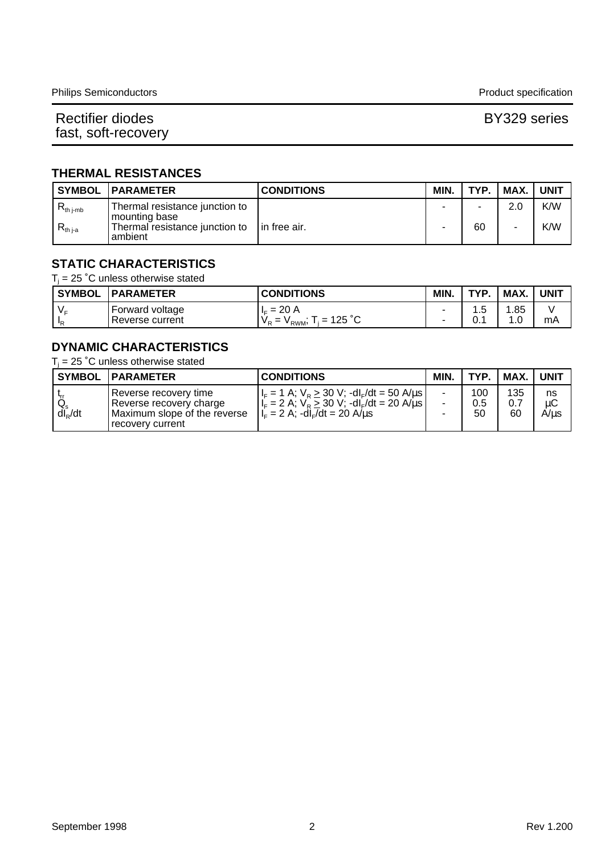### **THERMAL RESISTANCES**

|              | <b>SYMBOL   PARAMETER</b>                                     | <b>CONDITIONS</b> | MIN. | TYP. | MAX. | <b>UNIT</b> |
|--------------|---------------------------------------------------------------|-------------------|------|------|------|-------------|
| $K$ th j-mb  | Thermal resistance junction to<br>l mounting base             |                   |      |      | 2.0  | K/W         |
| $R_{th\,ia}$ | Thermal resistance junction to $\int$ in free air.<br>ambient |                   |      | 60   | -    | K/W         |

#### **STATIC CHARACTERISTICS**

 $T_i$  = 25 °C unless otherwise stated

| <b>SYMBOL</b> | <b>PARAMETER</b>                   | <b>CONDITIONS</b>                                                                         | <b>MIN</b>                    | TVD        | MAX.      | <b>UNIT</b> |
|---------------|------------------------------------|-------------------------------------------------------------------------------------------|-------------------------------|------------|-----------|-------------|
| $V -$<br>10   | Forward voltage<br>Reverse current | -20 A<br>$\overline{\phantom{0}}$<br>. IE.<br>$= 125 °C$<br>V <sub>P</sub><br>-<br>Y RWM, | $\overline{\phantom{a}}$<br>- | ن. ا<br>υ. | .85<br>0. | mA          |

### **DYNAMIC CHARACTERISTICS**

 $T_i$  = 25 °C unless otherwise stated

|                        | <b>SYMBOL IPARAMETER</b>                                                                             | <b>CONDITIONS</b>                                                                                                                                                                           | MIN.           | <b>TYP</b>       | MAX.             | <b>UNIT</b>      |
|------------------------|------------------------------------------------------------------------------------------------------|---------------------------------------------------------------------------------------------------------------------------------------------------------------------------------------------|----------------|------------------|------------------|------------------|
| $Q_s$ <sub>s</sub> /dt | Reverse recovery time<br>Reverse recovery charge<br>Maximum slope of the reverse<br>recovery current | $ I_F = 1 A$ ; $V_R \ge 30 V$ ; -dl <sub>F</sub> /dt = 50 A/us  <br>$ I_{F} = 2 A$ ; $V_{B} \ge 30 V$ ; -dl <sub>F</sub> /dt = 20 A/us  <br>$ I_{F} = 2 A$ ; -dl <sub>F</sub> /dt = 20 A/us | $\blacksquare$ | 100<br>0.5<br>50 | 135<br>0.7<br>60 | ns<br>иC<br>A/us |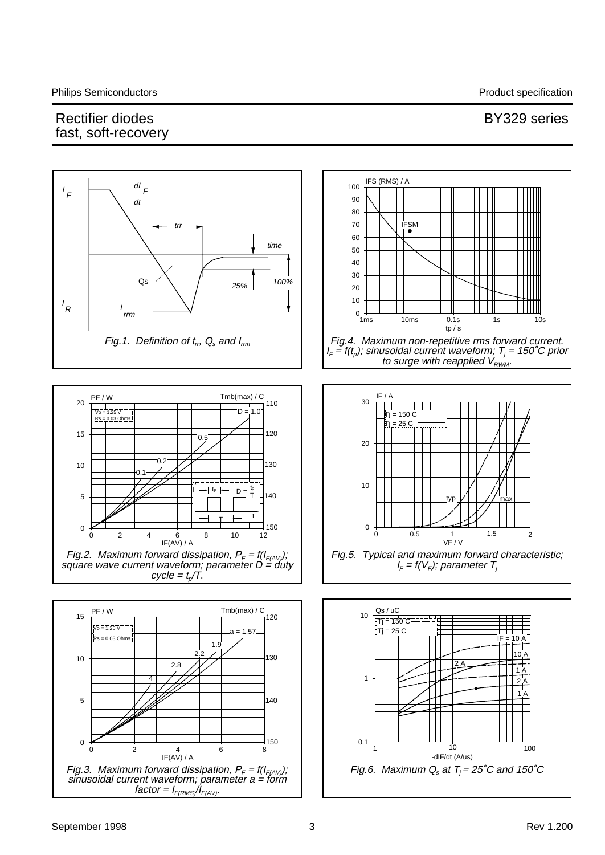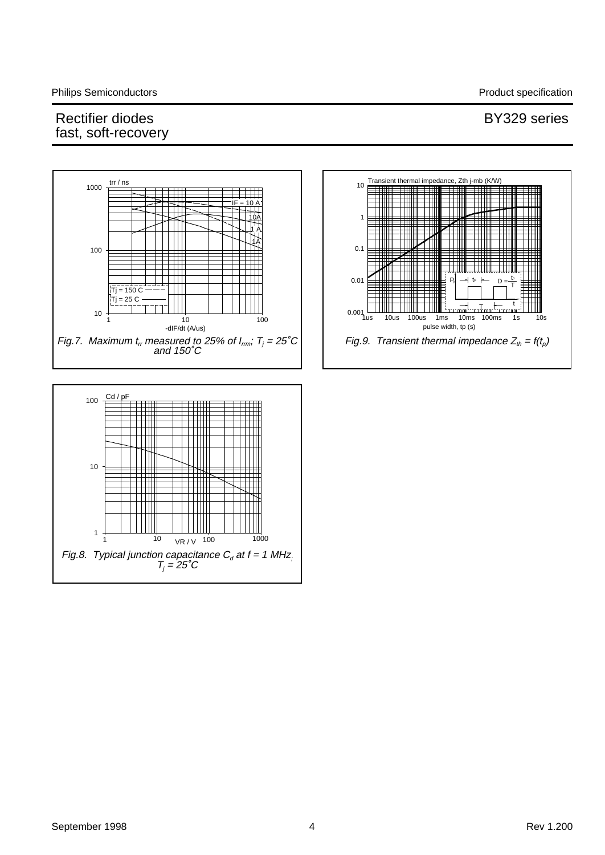#### Transient thermal impedance, Zth j-mb (K/W) trr / ns  $10<sub>1</sub>$ 1000 =H  $IF = 10 A$ ПШ 1 10A 1 A 1A てⅢ Ш 0.1 100 0.01  $^{\text{tp}}$   $\leftarrow$   $D = \frac{\text{tp}}{T}$ P D T  $\bar{T}$ j = 150 C 25 C t  $0.001\frac{L}{1}$ T 10 1us 10us 100us 1ms 10ms 100ms 1s 10s 1 10 100 pulse width, tp (s) -dIF/dt (A/us) Fig.9. Transient thermal impedance  $Z_{th} = f(t_p)$ Fig.7. Maximum  $t_{\text{\tiny{ir}}}$  measured to 25% of I $_{\text{\tiny{irm}}}$ ; T $_{\text{\tiny{j}}}$  = 25˚C and 150˚C  $Cd / pF$   $\longrightarrow$   $B$ 100 ШI

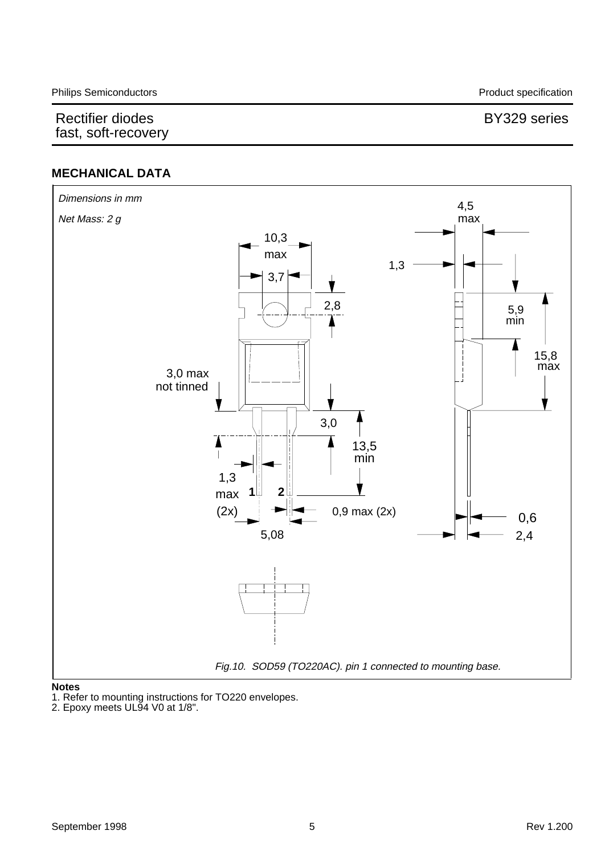## **MECHANICAL DATA**



#### **Notes**

1. Refer to mounting instructions for TO220 envelopes.

2. Epoxy meets UL94 V0 at 1/8".